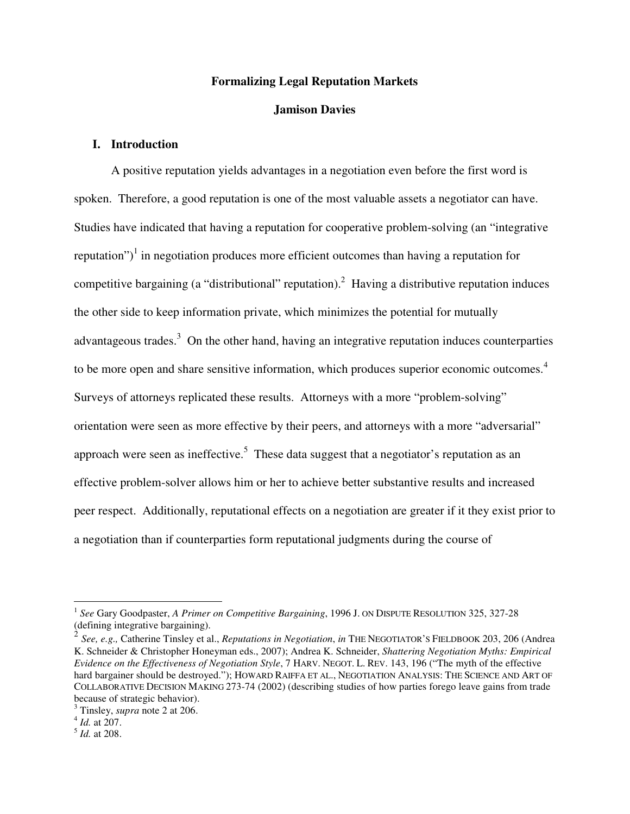# **Formalizing Legal Reputation Markets**

#### **Jamison Davies**

# **I. Introduction**

 A positive reputation yields advantages in a negotiation even before the first word is spoken. Therefore, a good reputation is one of the most valuable assets a negotiator can have. Studies have indicated that having a reputation for cooperative problem-solving (an "integrative reputation")<sup>1</sup> in negotiation produces more efficient outcomes than having a reputation for competitive bargaining (a "distributional" reputation).<sup>2</sup> Having a distributive reputation induces the other side to keep information private, which minimizes the potential for mutually advantageous trades. $3$  On the other hand, having an integrative reputation induces counterparties to be more open and share sensitive information, which produces superior economic outcomes.<sup>4</sup> Surveys of attorneys replicated these results. Attorneys with a more "problem-solving" orientation were seen as more effective by their peers, and attorneys with a more "adversarial" approach were seen as ineffective.<sup>5</sup> These data suggest that a negotiator's reputation as an effective problem-solver allows him or her to achieve better substantive results and increased peer respect. Additionally, reputational effects on a negotiation are greater if it they exist prior to a negotiation than if counterparties form reputational judgments during the course of

<sup>1</sup> *See* Gary Goodpaster, *A Primer on Competitive Bargaining*, 1996 J. ON DISPUTE RESOLUTION 325, 327-28 (defining integrative bargaining).

<sup>2</sup> *See, e.g.,* Catherine Tinsley et al., *Reputations in Negotiation*, *in* THE NEGOTIATOR'S FIELDBOOK 203, 206 (Andrea K. Schneider & Christopher Honeyman eds., 2007); Andrea K. Schneider, *Shattering Negotiation Myths: Empirical Evidence on the Effectiveness of Negotiation Style*, 7 HARV. NEGOT. L. REV. 143, 196 ("The myth of the effective hard bargainer should be destroyed."); HOWARD RAIFFA ET AL., NEGOTIATION ANALYSIS: THE SCIENCE AND ART OF COLLABORATIVE DECISION MAKING 273-74 (2002) (describing studies of how parties forego leave gains from trade because of strategic behavior).

 $^3$  Tinsley, *supra* note 2 at 206.<br> $^4$  *Id.* at 207.

<sup>5</sup> *Id.* at 208.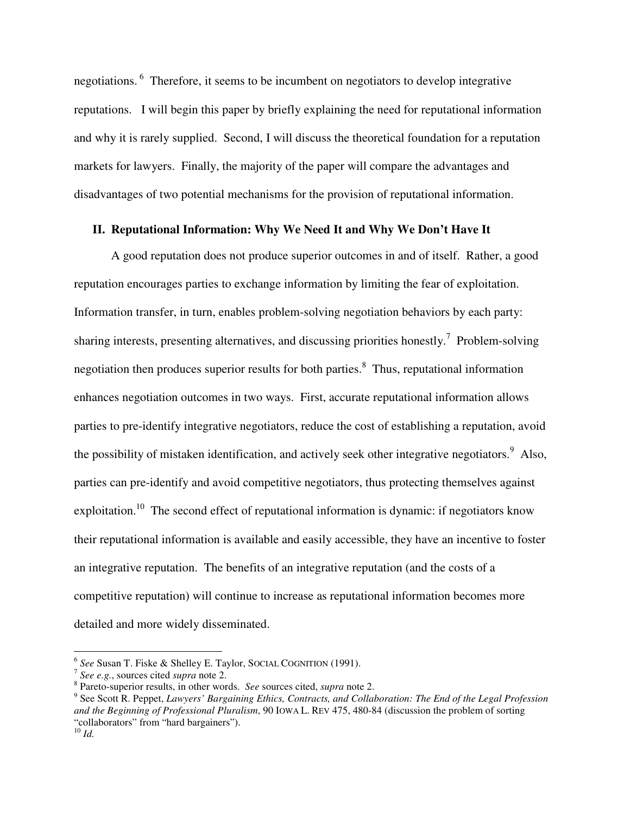negotiations. 6 Therefore, it seems to be incumbent on negotiators to develop integrative reputations. I will begin this paper by briefly explaining the need for reputational information and why it is rarely supplied. Second, I will discuss the theoretical foundation for a reputation markets for lawyers. Finally, the majority of the paper will compare the advantages and disadvantages of two potential mechanisms for the provision of reputational information.

# **II. Reputational Information: Why We Need It and Why We Don't Have It**

A good reputation does not produce superior outcomes in and of itself. Rather, a good reputation encourages parties to exchange information by limiting the fear of exploitation. Information transfer, in turn, enables problem-solving negotiation behaviors by each party: sharing interests, presenting alternatives, and discussing priorities honestly.<sup>7</sup> Problem-solving negotiation then produces superior results for both parties.<sup>8</sup> Thus, reputational information enhances negotiation outcomes in two ways. First, accurate reputational information allows parties to pre-identify integrative negotiators, reduce the cost of establishing a reputation, avoid the possibility of mistaken identification, and actively seek other integrative negotiators.<sup>9</sup> Also, parties can pre-identify and avoid competitive negotiators, thus protecting themselves against exploitation.<sup>10</sup> The second effect of reputational information is dynamic: if negotiators know their reputational information is available and easily accessible, they have an incentive to foster an integrative reputation. The benefits of an integrative reputation (and the costs of a competitive reputation) will continue to increase as reputational information becomes more detailed and more widely disseminated.

<sup>6</sup> *See* Susan T. Fiske & Shelley E. Taylor, SOCIAL COGNITION (1991). 7 *See e.g.*, sources cited *supra* note 2. 8

Pareto-superior results, in other words. *See* sources cited, *supra* note 2.

<sup>9</sup> See Scott R. Peppet, *Lawyers' Bargaining Ethics, Contracts, and Collaboration: The End of the Legal Profession and the Beginning of Professional Pluralism*, 90 IOWA L. REV 475, 480-84 (discussion the problem of sorting "collaborators" from "hard bargainers").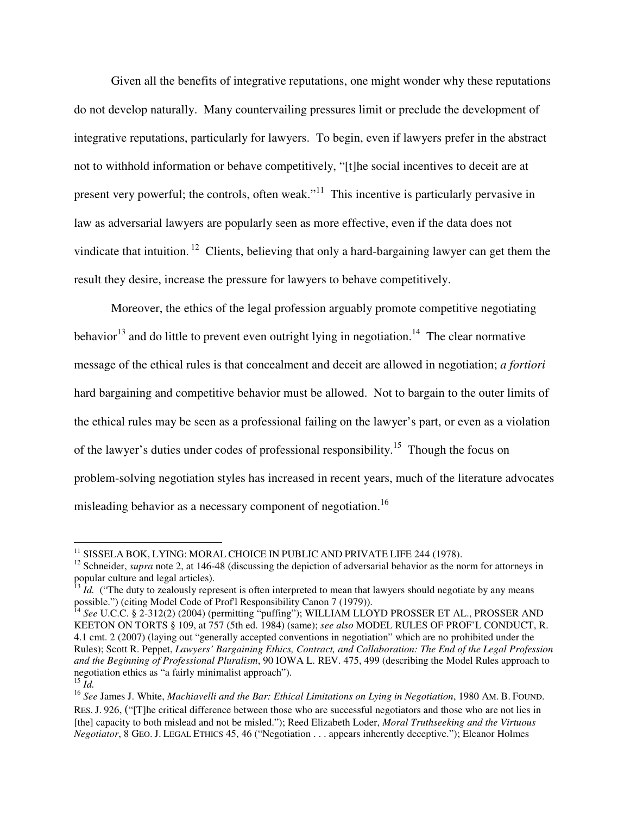Given all the benefits of integrative reputations, one might wonder why these reputations do not develop naturally. Many countervailing pressures limit or preclude the development of integrative reputations, particularly for lawyers. To begin, even if lawyers prefer in the abstract not to withhold information or behave competitively, "[t]he social incentives to deceit are at present very powerful; the controls, often weak."<sup>11</sup> This incentive is particularly pervasive in law as adversarial lawyers are popularly seen as more effective, even if the data does not vindicate that intuition. <sup>12</sup> Clients, believing that only a hard-bargaining lawyer can get them the result they desire, increase the pressure for lawyers to behave competitively.

Moreover, the ethics of the legal profession arguably promote competitive negotiating behavior<sup>13</sup> and do little to prevent even outright lying in negotiation.<sup>14</sup> The clear normative message of the ethical rules is that concealment and deceit are allowed in negotiation; *a fortiori* hard bargaining and competitive behavior must be allowed. Not to bargain to the outer limits of the ethical rules may be seen as a professional failing on the lawyer's part, or even as a violation of the lawyer's duties under codes of professional responsibility.15 Though the focus on problem-solving negotiation styles has increased in recent years, much of the literature advocates misleading behavior as a necessary component of negotiation.<sup>16</sup>

<sup>&</sup>lt;sup>11</sup> SISSELA BOK, LYING: MORAL CHOICE IN PUBLIC AND PRIVATE LIFE 244 (1978).<br><sup>12</sup> Schneider, *supra* note 2, at 146-48 (discussing the depiction of adversarial behavior as the norm for attorneys in popular culture and legal articles).

<sup>&</sup>lt;sup>13</sup> *Id.* ("The duty to zealously represent is often interpreted to mean that lawyers should negotiate by any means possible.") (citing Model Code of Prof'l Responsibility Canon 7 (1979)).<br><sup>14</sup> *See* U.C.C. § 2-312(2) (2004) (permitting "puffing"); WILLIAM LLOYD PROSSER ET AL., PROSSER AND

KEETON ON TORTS § 109, at 757 (5th ed. 1984) (same); *see also* MODEL RULES OF PROF'L CONDUCT, R. 4.1 cmt. 2 (2007) (laying out "generally accepted conventions in negotiation" which are no prohibited under the Rules); Scott R. Peppet, *Lawyers' Bargaining Ethics, Contract, and Collaboration: The End of the Legal Profession and the Beginning of Professional Pluralism*, 90 IOWA L. REV. 475, 499 (describing the Model Rules approach to negotiation ethics as "a fairly minimalist approach").  $^{15}$   $\mathrm{H}$ .

<sup>16</sup> *See* James J. White, *Machiavelli and the Bar: Ethical Limitations on Lying in Negotiation*, 1980 AM. B. FOUND. RES. J. 926, ("[T]he critical difference between those who are successful negotiators and those who are not lies in [the] capacity to both mislead and not be misled."); Reed Elizabeth Loder, *Moral Truthseeking and the Virtuous Negotiator*, 8 GEO. J. LEGAL ETHICS 45, 46 ("Negotiation . . . appears inherently deceptive."); Eleanor Holmes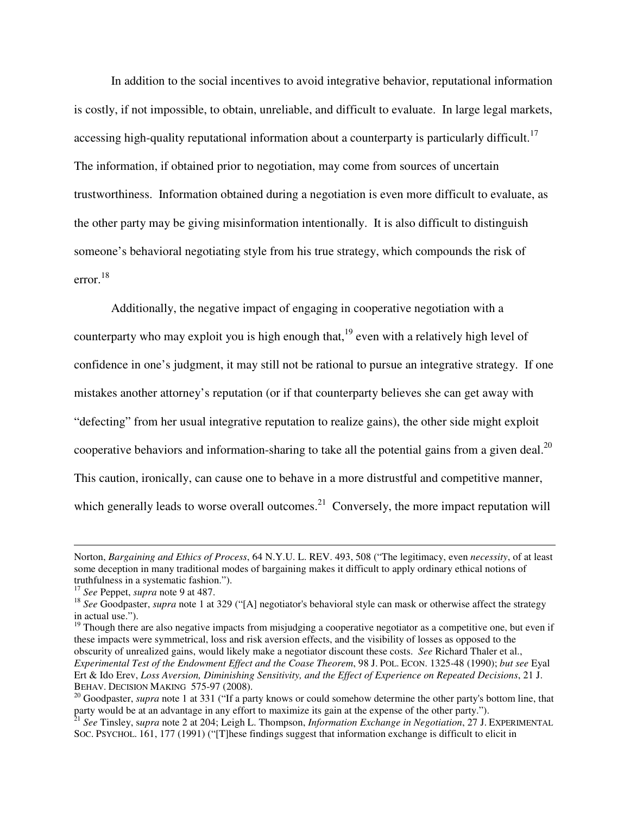In addition to the social incentives to avoid integrative behavior, reputational information is costly, if not impossible, to obtain, unreliable, and difficult to evaluate. In large legal markets, accessing high-quality reputational information about a counterparty is particularly difficult.<sup>17</sup> The information, if obtained prior to negotiation, may come from sources of uncertain trustworthiness. Information obtained during a negotiation is even more difficult to evaluate, as the other party may be giving misinformation intentionally. It is also difficult to distinguish someone's behavioral negotiating style from his true strategy, which compounds the risk of error.<sup>18</sup>

Additionally, the negative impact of engaging in cooperative negotiation with a counterparty who may exploit you is high enough that,<sup>19</sup> even with a relatively high level of confidence in one's judgment, it may still not be rational to pursue an integrative strategy. If one mistakes another attorney's reputation (or if that counterparty believes she can get away with "defecting" from her usual integrative reputation to realize gains), the other side might exploit cooperative behaviors and information-sharing to take all the potential gains from a given deal. $^{20}$ This caution, ironically, can cause one to behave in a more distrustful and competitive manner, which generally leads to worse overall outcomes.<sup>21</sup> Conversely, the more impact reputation will

Norton, *Bargaining and Ethics of Process*, 64 N.Y.U. L. REV. 493, 508 ("The legitimacy, even *necessity*, of at least some deception in many traditional modes of bargaining makes it difficult to apply ordinary ethical notions of truthfulness in a systematic fashion.").<br> $17 \text{ See}$  Peppet, *supra* note 9 at 487.

<sup>&</sup>lt;sup>18</sup> See Goodpaster, *supra* note 1 at 329 ("[A] negotiator's behavioral style can mask or otherwise affect the strategy in actual use.").

<sup>&</sup>lt;sup>19</sup> Though there are also negative impacts from misjudging a cooperative negotiator as a competitive one, but even if these impacts were symmetrical, loss and risk aversion effects, and the visibility of losses as opposed to the obscurity of unrealized gains, would likely make a negotiator discount these costs. *See* Richard Thaler et al., *Experimental Test of the Endowment Effect and the Coase Theorem*, 98 J. POL. ECON. 1325-48 (1990); *but see* Eyal Ert & Ido Erev, *Loss Aversion, Diminishing Sensitivity, and the Effect of Experience on Repeated Decisions*, 21 J.

<sup>&</sup>lt;sup>20</sup> Goodpaster, *supra* note 1 at 331 ("If a party knows or could somehow determine the other party's bottom line, that party would be at an advantage in any effort to maximize its gain at the expense of the other party.").<br><sup>21</sup> See Tinsley, supra note 2 at 204; Leigh L. Thompson, *Information Exchange in Negotiation*, 27 J. EXPERIMENTAL

SOC. PSYCHOL. 161, 177 (1991) ("[T]hese findings suggest that information exchange is difficult to elicit in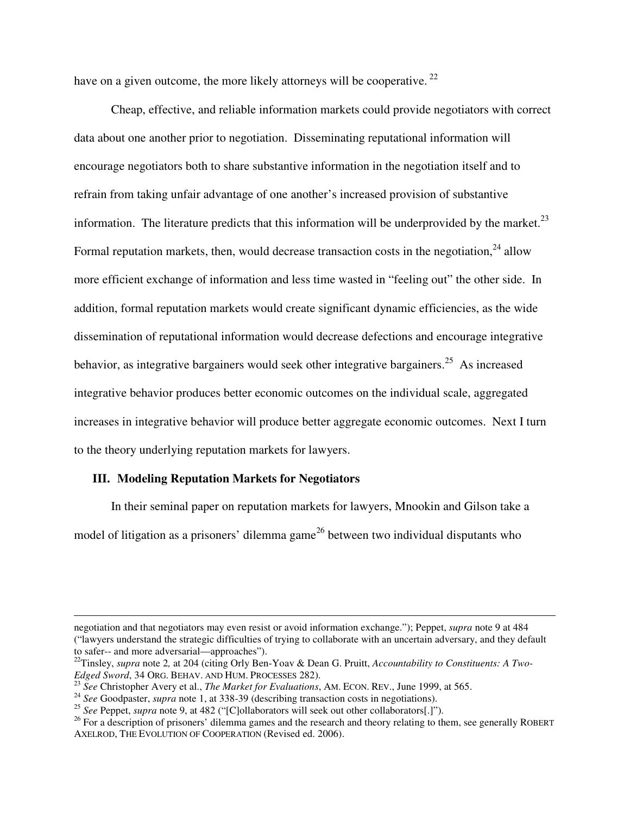have on a given outcome, the more likely attorneys will be cooperative.  $^{22}$ 

 Cheap, effective, and reliable information markets could provide negotiators with correct data about one another prior to negotiation. Disseminating reputational information will encourage negotiators both to share substantive information in the negotiation itself and to refrain from taking unfair advantage of one another's increased provision of substantive information. The literature predicts that this information will be underprovided by the market. $^{23}$ Formal reputation markets, then, would decrease transaction costs in the negotiation,  $24$  allow more efficient exchange of information and less time wasted in "feeling out" the other side. In addition, formal reputation markets would create significant dynamic efficiencies, as the wide dissemination of reputational information would decrease defections and encourage integrative behavior, as integrative bargainers would seek other integrative bargainers.<sup>25</sup> As increased integrative behavior produces better economic outcomes on the individual scale, aggregated increases in integrative behavior will produce better aggregate economic outcomes. Next I turn to the theory underlying reputation markets for lawyers.

#### **III. Modeling Reputation Markets for Negotiators**

 $\overline{a}$ 

 In their seminal paper on reputation markets for lawyers, Mnookin and Gilson take a model of litigation as a prisoners' dilemma game<sup>26</sup> between two individual disputants who

negotiation and that negotiators may even resist or avoid information exchange."); Peppet, *supra* note 9 at 484 ("lawyers understand the strategic difficulties of trying to collaborate with an uncertain adversary, and they default to safer-- and more adversarial—approaches").

<sup>&</sup>lt;sup>22</sup>Tinsley, *supra* note 2, at 204 (citing Orly Ben-Yoav & Dean G. Pruitt, *Accountability to Constituents: A Two-Edged Sword*, 34 ORG. BEHAV. AND HUM. PROCESSES 282).

<sup>&</sup>lt;sup>23</sup> See Christopher Avery et al., *The Market for Evaluations*, AM. ECON. REV., June 1999, at 565.<br><sup>24</sup> See Goodpaster, *supra* note 1, at 338-39 (describing transaction costs in negotiations).

<sup>25</sup> *See* Peppet, *supra* note 9, at 482 ("[C]ollaborators will seek out other collaborators[.]").

 $^{26}$  For a description of prisoners' dilemma games and the research and theory relating to them, see generally ROBERT AXELROD, THE EVOLUTION OF COOPERATION (Revised ed. 2006).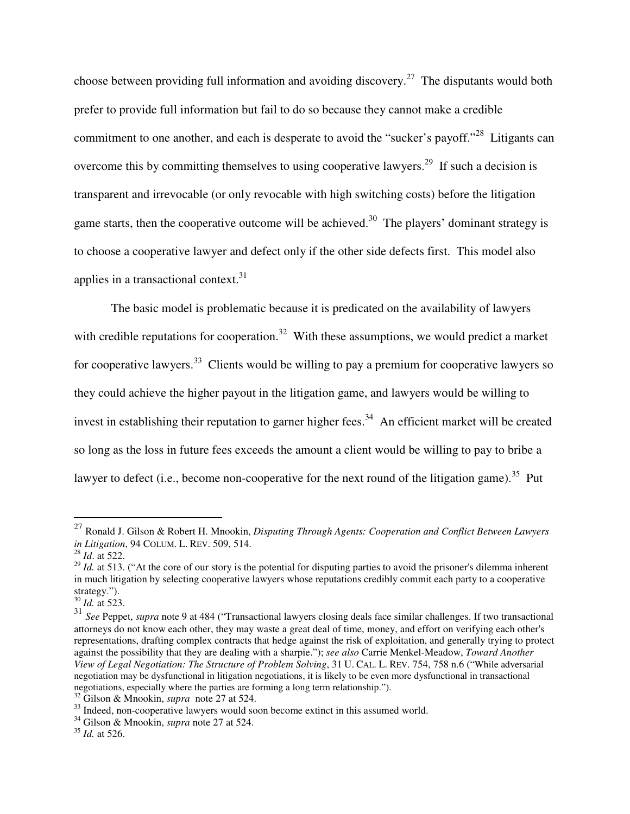choose between providing full information and avoiding discovery.<sup>27</sup> The disputants would both prefer to provide full information but fail to do so because they cannot make a credible commitment to one another, and each is desperate to avoid the "sucker's payoff."<sup>28</sup> Litigants can overcome this by committing themselves to using cooperative lawyers.<sup>29</sup> If such a decision is transparent and irrevocable (or only revocable with high switching costs) before the litigation game starts, then the cooperative outcome will be achieved.<sup>30</sup> The players' dominant strategy is to choose a cooperative lawyer and defect only if the other side defects first. This model also applies in a transactional context.<sup>31</sup>

 The basic model is problematic because it is predicated on the availability of lawyers with credible reputations for cooperation.<sup>32</sup> With these assumptions, we would predict a market for cooperative lawyers.<sup>33</sup> Clients would be willing to pay a premium for cooperative lawyers so they could achieve the higher payout in the litigation game, and lawyers would be willing to invest in establishing their reputation to garner higher fees.<sup>34</sup> An efficient market will be created so long as the loss in future fees exceeds the amount a client would be willing to pay to bribe a lawyer to defect (i.e., become non-cooperative for the next round of the litigation game).<sup>35</sup> Put

<sup>27</sup> Ronald J. Gilson & Robert H. Mnookin, *Disputing Through Agents: Cooperation and Conflict Between Lawyers in Litigation*, 94 COLUM. L. REV. 509, 514. <sup>28</sup> *Id*. at 522.

<sup>&</sup>lt;sup>29</sup> *Id.* at 513. ("At the core of our story is the potential for disputing parties to avoid the prisoner's dilemma inherent in much litigation by selecting cooperative lawyers whose reputations credibly commit each party to a cooperative strategy.").

<sup>30</sup> *Id.* at 523.

<sup>31</sup> *See* Peppet, *supra* note 9 at 484 ("Transactional lawyers closing deals face similar challenges. If two transactional attorneys do not know each other, they may waste a great deal of time, money, and effort on verifying each other's representations, drafting complex contracts that hedge against the risk of exploitation, and generally trying to protect against the possibility that they are dealing with a sharpie."); *see also* Carrie Menkel-Meadow, *Toward Another View of Legal Negotiation: The Structure of Problem Solving*, 31 U. CAL. L. REV. 754, 758 n.6 ("While adversarial negotiation may be dysfunctional in litigation negotiations, it is likely to be even more dysfunctional in transactional negotiations, especially where the parties are forming a long term relationship.").

<sup>&</sup>lt;sup>32</sup> Gilson & Mnookin, *supra* note 27 at 524.<br><sup>33</sup> Indeed, non-cooperative lawyers would soon become extinct in this assumed world.<br><sup>34</sup> Gilson & Mnookin, *supra* note 27 at 524.

<sup>35</sup> *Id.* at 526.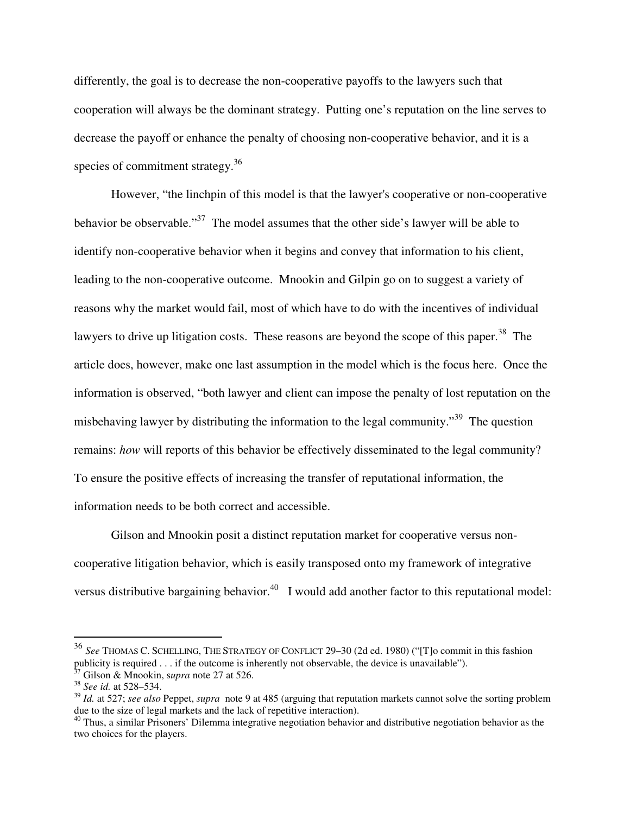differently, the goal is to decrease the non-cooperative payoffs to the lawyers such that cooperation will always be the dominant strategy. Putting one's reputation on the line serves to decrease the payoff or enhance the penalty of choosing non-cooperative behavior, and it is a species of commitment strategy.<sup>36</sup>

 However, "the linchpin of this model is that the lawyer's cooperative or non-cooperative behavior be observable."<sup>37</sup> The model assumes that the other side's lawyer will be able to identify non-cooperative behavior when it begins and convey that information to his client, leading to the non-cooperative outcome. Mnookin and Gilpin go on to suggest a variety of reasons why the market would fail, most of which have to do with the incentives of individual lawyers to drive up litigation costs. These reasons are beyond the scope of this paper.<sup>38</sup> The article does, however, make one last assumption in the model which is the focus here. Once the information is observed, "both lawyer and client can impose the penalty of lost reputation on the misbehaving lawyer by distributing the information to the legal community."<sup>39</sup> The question remains: *how* will reports of this behavior be effectively disseminated to the legal community? To ensure the positive effects of increasing the transfer of reputational information, the information needs to be both correct and accessible.

 Gilson and Mnookin posit a distinct reputation market for cooperative versus noncooperative litigation behavior, which is easily transposed onto my framework of integrative versus distributive bargaining behavior.<sup>40</sup> I would add another factor to this reputational model:

<sup>36</sup> *See* THOMAS C. SCHELLING, THE STRATEGY OF CONFLICT 29–30 (2d ed. 1980) ("[T]o commit in this fashion publicity is required . . . if the outcome is inherently not observable, the device is unavailable").<br><sup>37</sup> Gilson & Mnookin, *supra* note 27 at 526.<br><sup>38</sup> *See id.* at 528–534.

<sup>39</sup> *Id.* at 527; *see also* Peppet, *supra* note 9 at 485 (arguing that reputation markets cannot solve the sorting problem due to the size of legal markets and the lack of repetitive interaction).<br><sup>40</sup> Thus, a similar Prisoners' Dilemma integrative negotiation behavior and distributive negotiation behavior as the

two choices for the players.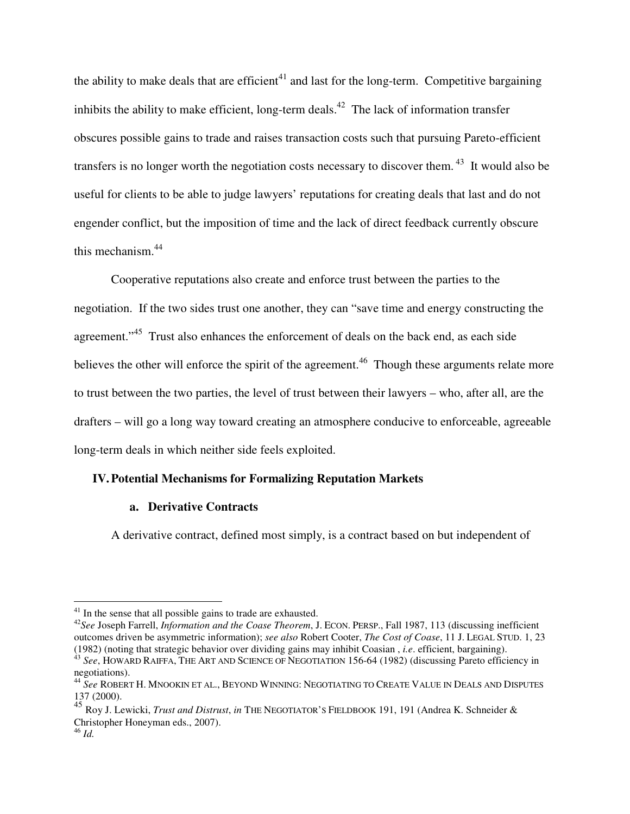the ability to make deals that are efficient<sup>41</sup> and last for the long-term. Competitive bargaining inhibits the ability to make efficient, long-term deals.<sup>42</sup> The lack of information transfer obscures possible gains to trade and raises transaction costs such that pursuing Pareto-efficient transfers is no longer worth the negotiation costs necessary to discover them. 43 It would also be useful for clients to be able to judge lawyers' reputations for creating deals that last and do not engender conflict, but the imposition of time and the lack of direct feedback currently obscure this mechanism.44

Cooperative reputations also create and enforce trust between the parties to the negotiation. If the two sides trust one another, they can "save time and energy constructing the agreement."<sup>45</sup> Trust also enhances the enforcement of deals on the back end, as each side believes the other will enforce the spirit of the agreement.<sup>46</sup> Though these arguments relate more to trust between the two parties, the level of trust between their lawyers – who, after all, are the drafters – will go a long way toward creating an atmosphere conducive to enforceable, agreeable long-term deals in which neither side feels exploited.

# **IV.Potential Mechanisms for Formalizing Reputation Markets**

# **a. Derivative Contracts**

A derivative contract, defined most simply, is a contract based on but independent of

 $41$  In the sense that all possible gains to trade are exhausted.

<sup>&</sup>lt;sup>42</sup>See Joseph Farrell, *Information and the Coase Theorem*, J. ECON. PERSP., Fall 1987, 113 (discussing inefficient outcomes driven be asymmetric information); *see also* Robert Cooter, *The Cost of Coase*, 11 J. LEGAL STUD. 1, 23

 $43$  See, HOWARD RAIFFA, THE ART AND SCIENCE OF NEGOTIATION 156-64 (1982) (discussing Pareto efficiency in negotiations).

<sup>44</sup> *See* ROBERT H. MNOOKIN ET AL., BEYOND WINNING: NEGOTIATING TO CREATE VALUE IN DEALS AND DISPUTES 137 (2000).

<sup>45</sup> Roy J. Lewicki, *Trust and Distrust*, *in* THE NEGOTIATOR'S FIELDBOOK 191, 191 (Andrea K. Schneider & Christopher Honeyman eds., 2007).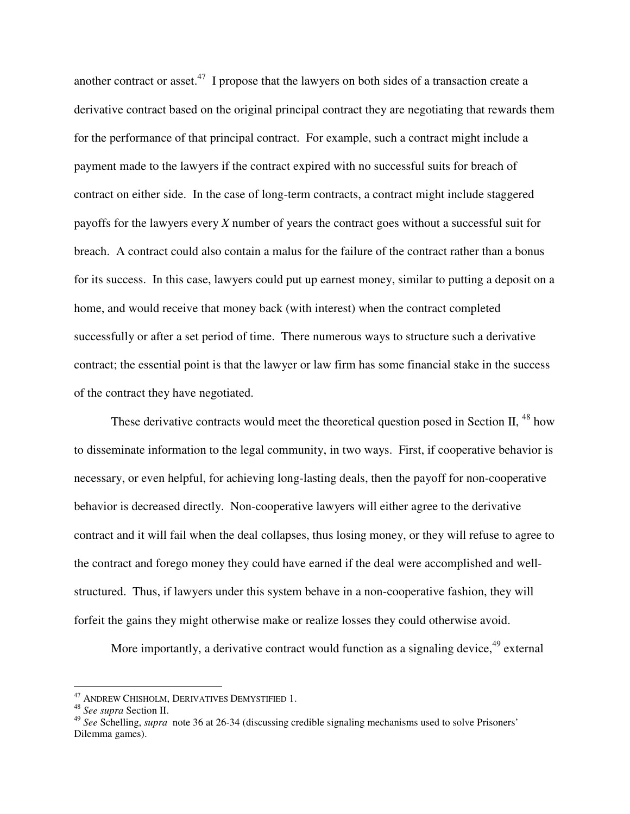another contract or asset.<sup>47</sup> I propose that the lawyers on both sides of a transaction create a derivative contract based on the original principal contract they are negotiating that rewards them for the performance of that principal contract. For example, such a contract might include a payment made to the lawyers if the contract expired with no successful suits for breach of contract on either side. In the case of long-term contracts, a contract might include staggered payoffs for the lawyers every *X* number of years the contract goes without a successful suit for breach. A contract could also contain a malus for the failure of the contract rather than a bonus for its success. In this case, lawyers could put up earnest money, similar to putting a deposit on a home, and would receive that money back (with interest) when the contract completed successfully or after a set period of time. There numerous ways to structure such a derivative contract; the essential point is that the lawyer or law firm has some financial stake in the success of the contract they have negotiated.

These derivative contracts would meet the theoretical question posed in Section II, <sup>48</sup> how to disseminate information to the legal community, in two ways. First, if cooperative behavior is necessary, or even helpful, for achieving long-lasting deals, then the payoff for non-cooperative behavior is decreased directly. Non-cooperative lawyers will either agree to the derivative contract and it will fail when the deal collapses, thus losing money, or they will refuse to agree to the contract and forego money they could have earned if the deal were accomplished and wellstructured. Thus, if lawyers under this system behave in a non-cooperative fashion, they will forfeit the gains they might otherwise make or realize losses they could otherwise avoid.

More importantly, a derivative contract would function as a signaling device,  $49$  external

<sup>47</sup> ANDREW CHISHOLM, DERIVATIVES DEMYSTIFIED 1. 48 *See supra* Section II.

<sup>49</sup> *See* Schelling, *supra* note 36 at 26-34 (discussing credible signaling mechanisms used to solve Prisoners' Dilemma games).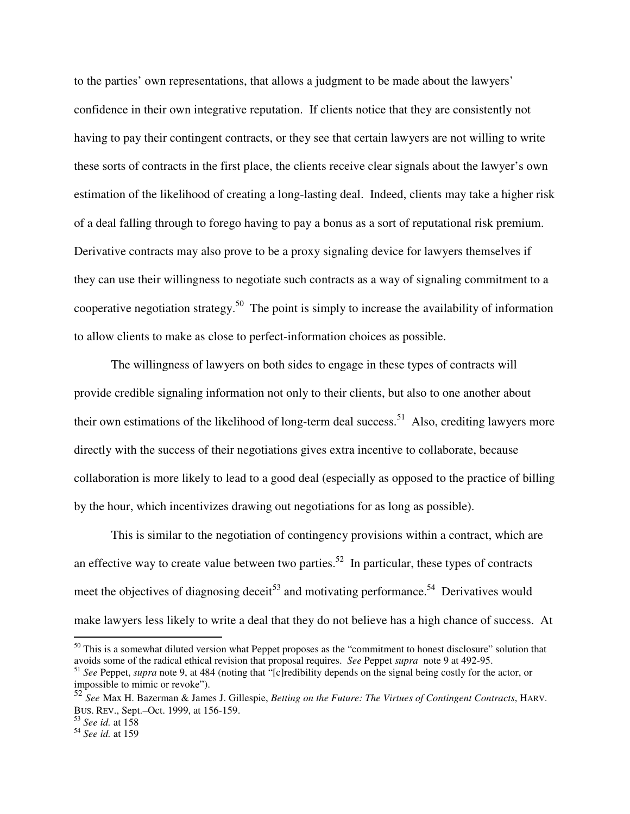to the parties' own representations, that allows a judgment to be made about the lawyers' confidence in their own integrative reputation. If clients notice that they are consistently not having to pay their contingent contracts, or they see that certain lawyers are not willing to write these sorts of contracts in the first place, the clients receive clear signals about the lawyer's own estimation of the likelihood of creating a long-lasting deal. Indeed, clients may take a higher risk of a deal falling through to forego having to pay a bonus as a sort of reputational risk premium. Derivative contracts may also prove to be a proxy signaling device for lawyers themselves if they can use their willingness to negotiate such contracts as a way of signaling commitment to a cooperative negotiation strategy.<sup>50</sup> The point is simply to increase the availability of information to allow clients to make as close to perfect-information choices as possible.

 The willingness of lawyers on both sides to engage in these types of contracts will provide credible signaling information not only to their clients, but also to one another about their own estimations of the likelihood of long-term deal success.<sup>51</sup> Also, crediting lawyers more directly with the success of their negotiations gives extra incentive to collaborate, because collaboration is more likely to lead to a good deal (especially as opposed to the practice of billing by the hour, which incentivizes drawing out negotiations for as long as possible).

 This is similar to the negotiation of contingency provisions within a contract, which are an effective way to create value between two parties.<sup>52</sup> In particular, these types of contracts meet the objectives of diagnosing deceit<sup>53</sup> and motivating performance.<sup>54</sup> Derivatives would make lawyers less likely to write a deal that they do not believe has a high chance of success. At

 $50$  This is a somewhat diluted version what Peppet proposes as the "commitment to honest disclosure" solution that avoids some of the radical ethical revision that proposal requires. *See* Peppet *supra* note 9 at 492-95.

<sup>51</sup> *See* Peppet, *supra* note 9, at 484 (noting that "[c]redibility depends on the signal being costly for the actor, or impossible to mimic or revoke").

<sup>52</sup> *See* Max H. Bazerman & James J. Gillespie, *Betting on the Future: The Virtues of Contingent Contracts*, HARV. BUS. REV., Sept.–Oct. 1999, at 156-159.

<sup>53</sup> *See id.* at 158

<sup>54</sup> *See id.* at 159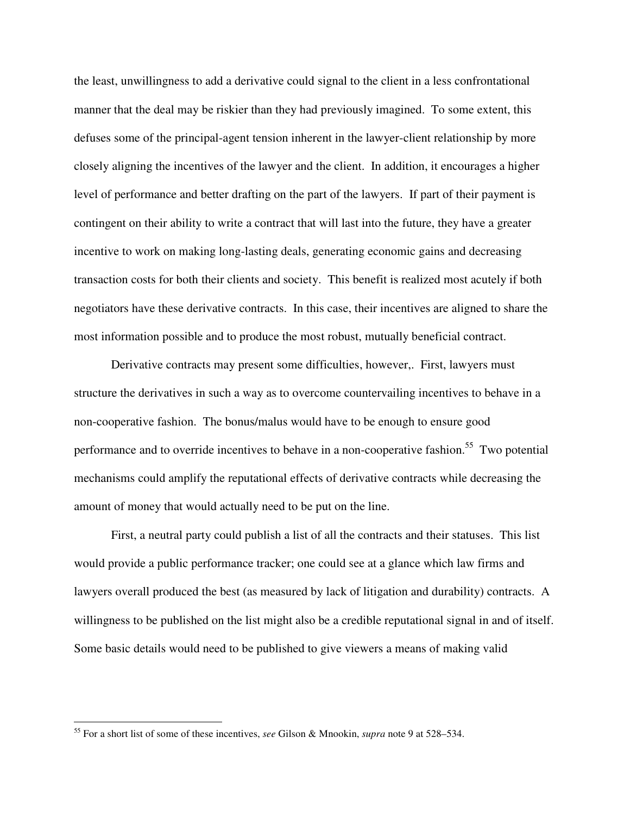the least, unwillingness to add a derivative could signal to the client in a less confrontational manner that the deal may be riskier than they had previously imagined. To some extent, this defuses some of the principal-agent tension inherent in the lawyer-client relationship by more closely aligning the incentives of the lawyer and the client. In addition, it encourages a higher level of performance and better drafting on the part of the lawyers. If part of their payment is contingent on their ability to write a contract that will last into the future, they have a greater incentive to work on making long-lasting deals, generating economic gains and decreasing transaction costs for both their clients and society. This benefit is realized most acutely if both negotiators have these derivative contracts. In this case, their incentives are aligned to share the most information possible and to produce the most robust, mutually beneficial contract.

 Derivative contracts may present some difficulties, however,. First, lawyers must structure the derivatives in such a way as to overcome countervailing incentives to behave in a non-cooperative fashion. The bonus/malus would have to be enough to ensure good performance and to override incentives to behave in a non-cooperative fashion.<sup>55</sup> Two potential mechanisms could amplify the reputational effects of derivative contracts while decreasing the amount of money that would actually need to be put on the line.

First, a neutral party could publish a list of all the contracts and their statuses. This list would provide a public performance tracker; one could see at a glance which law firms and lawyers overall produced the best (as measured by lack of litigation and durability) contracts. A willingness to be published on the list might also be a credible reputational signal in and of itself. Some basic details would need to be published to give viewers a means of making valid

<sup>55</sup> For a short list of some of these incentives, *see* Gilson & Mnookin, *supra* note 9 at 528–534.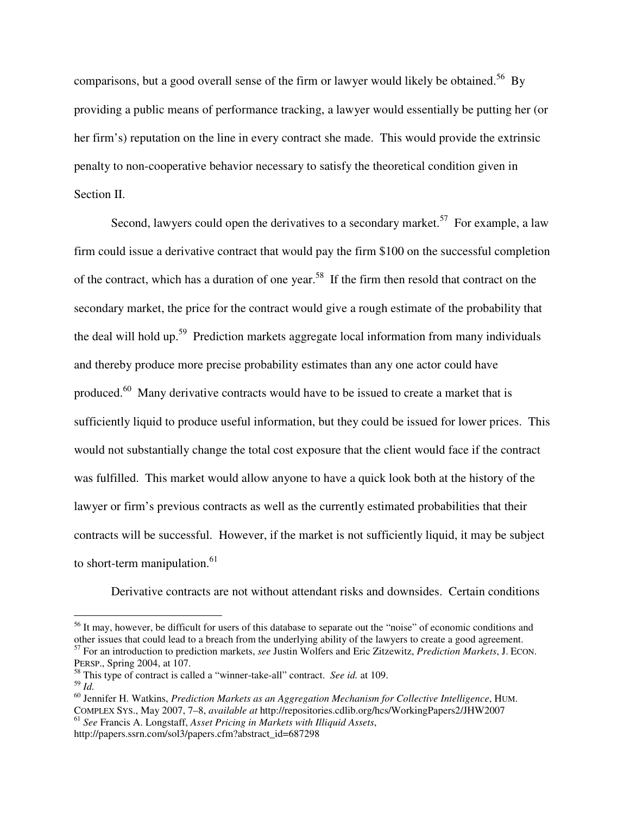comparisons, but a good overall sense of the firm or lawyer would likely be obtained.<sup>56</sup> By providing a public means of performance tracking, a lawyer would essentially be putting her (or her firm's) reputation on the line in every contract she made. This would provide the extrinsic penalty to non-cooperative behavior necessary to satisfy the theoretical condition given in Section II.

Second, lawyers could open the derivatives to a secondary market.<sup>57</sup> For example, a law firm could issue a derivative contract that would pay the firm \$100 on the successful completion of the contract, which has a duration of one year.<sup>58</sup> If the firm then resold that contract on the secondary market, the price for the contract would give a rough estimate of the probability that the deal will hold up.<sup>59</sup> Prediction markets aggregate local information from many individuals and thereby produce more precise probability estimates than any one actor could have produced.<sup>60</sup> Many derivative contracts would have to be issued to create a market that is sufficiently liquid to produce useful information, but they could be issued for lower prices. This would not substantially change the total cost exposure that the client would face if the contract was fulfilled. This market would allow anyone to have a quick look both at the history of the lawyer or firm's previous contracts as well as the currently estimated probabilities that their contracts will be successful. However, if the market is not sufficiently liquid, it may be subject to short-term manipulation. $61$ 

Derivative contracts are not without attendant risks and downsides. Certain conditions

<sup>&</sup>lt;sup>56</sup> It may, however, be difficult for users of this database to separate out the "noise" of economic conditions and other issues that could lead to a breach from the underlying ability of the lawyers to create a good agreement. 57 For an introduction to prediction markets, *see* Justin Wolfers and Eric Zitzewitz, *Prediction Markets*, J. ECON.

PERSP., Spring 2004, at 107.

<sup>58</sup> This type of contract is called a "winner-take-all" contract. *See id.* at 109.

<sup>59</sup> *Id.* 60 Jennifer H. Watkins, *Prediction Markets as an Aggregation Mechanism for Collective Intelligence*, HUM. COMPLEX SYS., May 2007, 7–8, *available at* http://repositories.cdlib.org/hcs/WorkingPapers2/JHW2007 <sup>61</sup> *See* Francis A. Longstaff, *Asset Pricing in Markets with Illiquid Assets*,

http://papers.ssrn.com/sol3/papers.cfm?abstract\_id=687298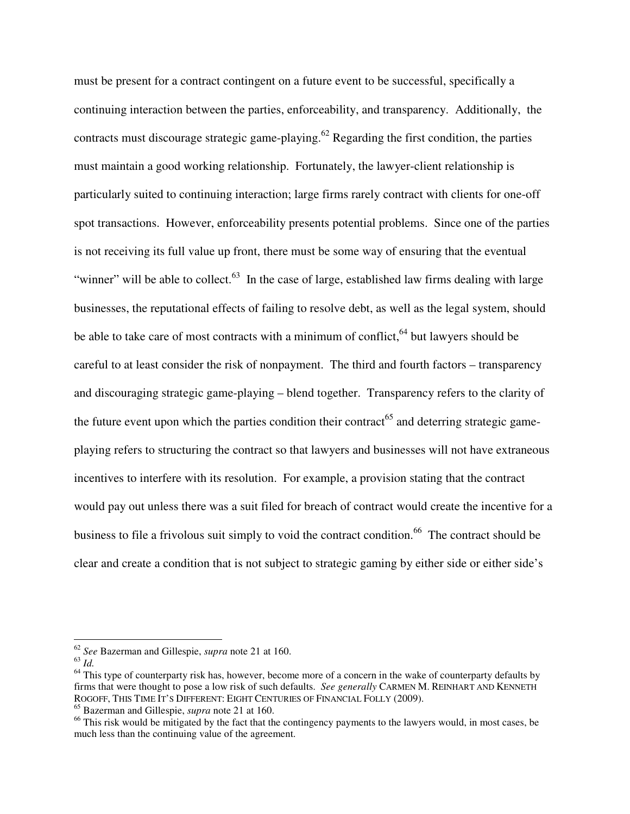must be present for a contract contingent on a future event to be successful, specifically a continuing interaction between the parties, enforceability, and transparency. Additionally, the contracts must discourage strategic game-playing.<sup>62</sup> Regarding the first condition, the parties must maintain a good working relationship. Fortunately, the lawyer-client relationship is particularly suited to continuing interaction; large firms rarely contract with clients for one-off spot transactions. However, enforceability presents potential problems. Since one of the parties is not receiving its full value up front, there must be some way of ensuring that the eventual "winner" will be able to collect. $^{63}$  In the case of large, established law firms dealing with large businesses, the reputational effects of failing to resolve debt, as well as the legal system, should be able to take care of most contracts with a minimum of conflict,  $64$  but lawyers should be careful to at least consider the risk of nonpayment. The third and fourth factors – transparency and discouraging strategic game-playing – blend together. Transparency refers to the clarity of the future event upon which the parties condition their contract<sup>65</sup> and deterring strategic gameplaying refers to structuring the contract so that lawyers and businesses will not have extraneous incentives to interfere with its resolution. For example, a provision stating that the contract would pay out unless there was a suit filed for breach of contract would create the incentive for a business to file a frivolous suit simply to void the contract condition.<sup>66</sup> The contract should be clear and create a condition that is not subject to strategic gaming by either side or either side's

<sup>62</sup> *See* Bazerman and Gillespie, *supra* note 21 at 160.

 $63 \overline{Id}$ .

 $64$  This type of counterparty risk has, however, become more of a concern in the wake of counterparty defaults by firms that were thought to pose a low risk of such defaults. *See generally* CARMEN M. REINHART AND KENNETH ROGOFF, THIS TIME IT'S DIFFERENT: EIGHT CENTURIES OF FINANCIAL FOLLY (2009).

<sup>65</sup> Bazerman and Gillespie, *supra* note 21 at 160.

 $66$  This risk would be mitigated by the fact that the contingency payments to the lawyers would, in most cases, be much less than the continuing value of the agreement.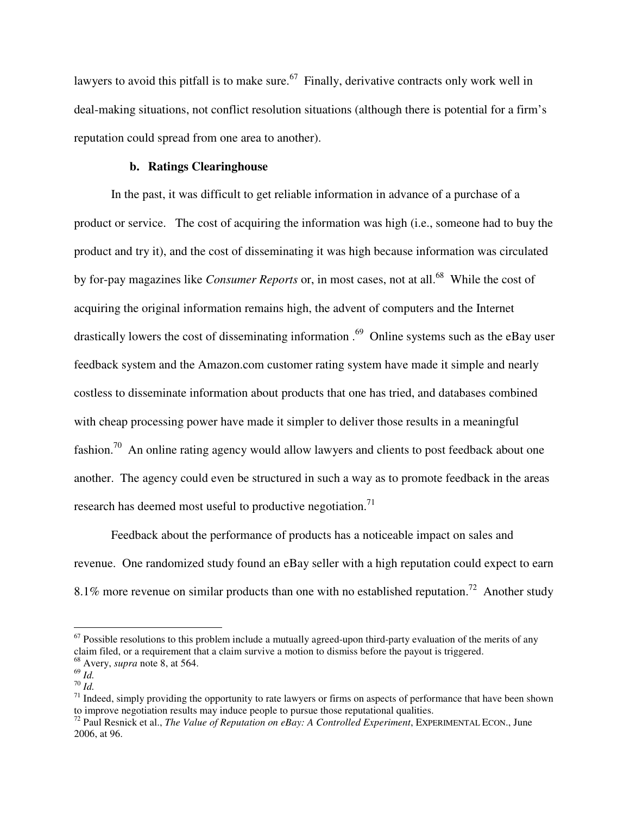lawyers to avoid this pitfall is to make sure.<sup>67</sup> Finally, derivative contracts only work well in deal-making situations, not conflict resolution situations (although there is potential for a firm's reputation could spread from one area to another).

#### **b. Ratings Clearinghouse**

In the past, it was difficult to get reliable information in advance of a purchase of a product or service. The cost of acquiring the information was high (i.e., someone had to buy the product and try it), and the cost of disseminating it was high because information was circulated by for-pay magazines like *Consumer Reports* or, in most cases, not at all.<sup>68</sup> While the cost of acquiring the original information remains high, the advent of computers and the Internet drastically lowers the cost of disseminating information .<sup>69</sup> Online systems such as the eBay user feedback system and the Amazon.com customer rating system have made it simple and nearly costless to disseminate information about products that one has tried, and databases combined with cheap processing power have made it simpler to deliver those results in a meaningful fashion.<sup>70</sup> An online rating agency would allow lawyers and clients to post feedback about one another. The agency could even be structured in such a way as to promote feedback in the areas research has deemed most useful to productive negotiation.<sup>71</sup>

 Feedback about the performance of products has a noticeable impact on sales and revenue. One randomized study found an eBay seller with a high reputation could expect to earn 8.1% more revenue on similar products than one with no established reputation.<sup>72</sup> Another study

 $67$  Possible resolutions to this problem include a mutually agreed-upon third-party evaluation of the merits of any claim filed, or a requirement that a claim survive a motion to dismiss before the payout is triggered.  $^{68}$  Avery, *supra* note 8, at 564.<br> $^{69}$  *Id.* 

 $\frac{70}{1}$  *Id. Id. T*<sup>1</sup> Indeed, simply providing the opportunity to rate lawyers or firms on aspects of performance that have been shown to improve negotiation results may induce people to pursue those reputational qualities.<br><sup>72</sup> Paul Resnick et al., *The Value of Reputation on eBay: A Controlled Experiment*, EXPERIMENTAL ECON., June

<sup>2006,</sup> at 96.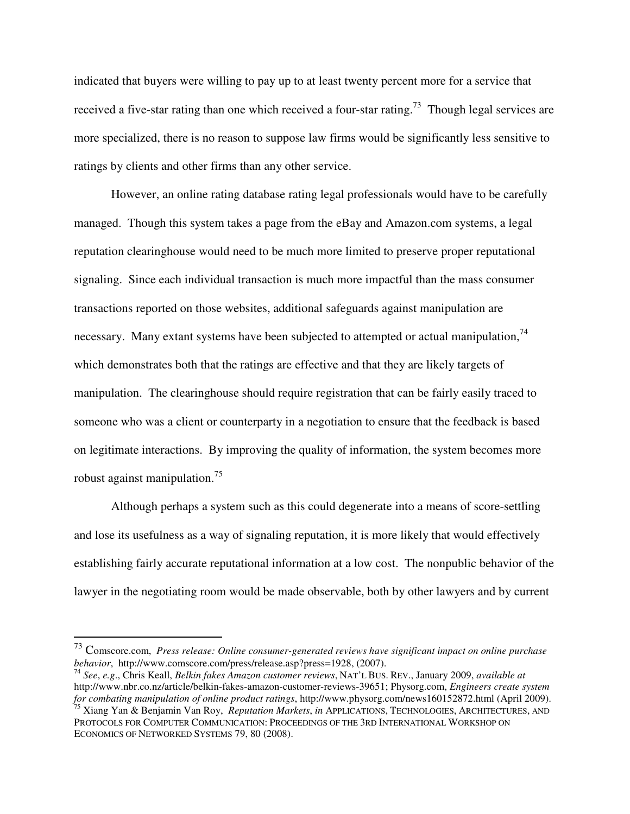indicated that buyers were willing to pay up to at least twenty percent more for a service that received a five-star rating than one which received a four-star rating.<sup>73</sup> Though legal services are more specialized, there is no reason to suppose law firms would be significantly less sensitive to ratings by clients and other firms than any other service.

 However, an online rating database rating legal professionals would have to be carefully managed. Though this system takes a page from the eBay and Amazon.com systems, a legal reputation clearinghouse would need to be much more limited to preserve proper reputational signaling. Since each individual transaction is much more impactful than the mass consumer transactions reported on those websites, additional safeguards against manipulation are necessary. Many extant systems have been subjected to attempted or actual manipulation,  $74$ which demonstrates both that the ratings are effective and that they are likely targets of manipulation. The clearinghouse should require registration that can be fairly easily traced to someone who was a client or counterparty in a negotiation to ensure that the feedback is based on legitimate interactions. By improving the quality of information, the system becomes more robust against manipulation.<sup>75</sup>

 Although perhaps a system such as this could degenerate into a means of score-settling and lose its usefulness as a way of signaling reputation, it is more likely that would effectively establishing fairly accurate reputational information at a low cost. The nonpublic behavior of the lawyer in the negotiating room would be made observable, both by other lawyers and by current

<sup>73</sup> Comscore.com, *Press release: Online consumer-generated reviews have significant impact on online purchase behavior*, http://www.comscore.com/press/release.asp?press=1928, (2007). <sup>74</sup> *See*, *e.g*., Chris Keall, *Belkin fakes Amazon customer reviews*, NAT'L BUS. REV., January 2009, *available at*

http://www.nbr.co.nz/article/belkin-fakes-amazon-customer-reviews-39651; Physorg.com, *Engineers create system for combating manipulation of online product ratings*, http://www.physorg.com/news160152872.html (April 2009). 75 Xiang Yan & Benjamin Van Roy, *Reputation Markets*, *in* APPLICATIONS, TECHNOLOGIES, ARCHITECTURES, AND PROTOCOLS FOR COMPUTER COMMUNICATION: PROCEEDINGS OF THE 3RD INTERNATIONAL WORKSHOP ON ECONOMICS OF NETWORKED SYSTEMS 79, 80 (2008).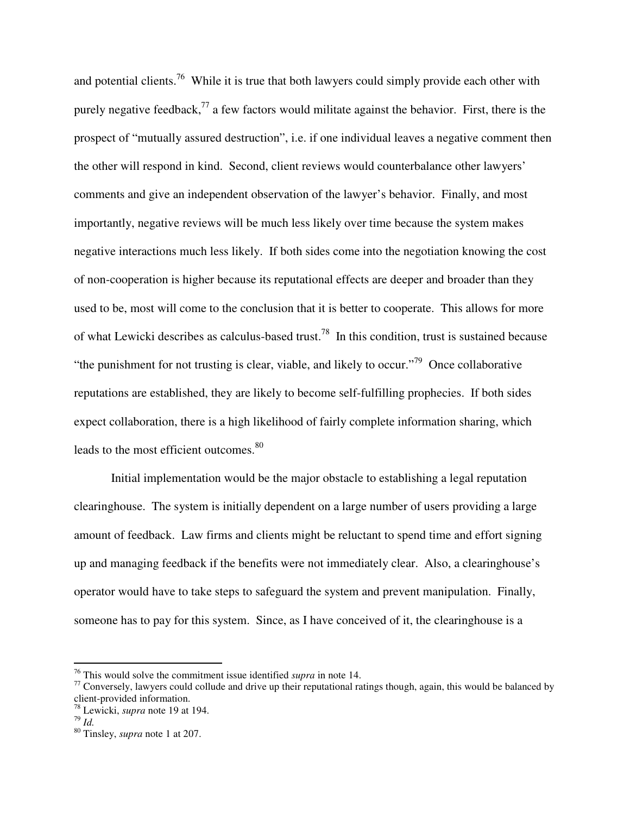and potential clients.<sup>76</sup> While it is true that both lawyers could simply provide each other with purely negative feedback,  $^{77}$  a few factors would militate against the behavior. First, there is the prospect of "mutually assured destruction", i.e. if one individual leaves a negative comment then the other will respond in kind. Second, client reviews would counterbalance other lawyers' comments and give an independent observation of the lawyer's behavior. Finally, and most importantly, negative reviews will be much less likely over time because the system makes negative interactions much less likely. If both sides come into the negotiation knowing the cost of non-cooperation is higher because its reputational effects are deeper and broader than they used to be, most will come to the conclusion that it is better to cooperate. This allows for more of what Lewicki describes as calculus-based trust.78 In this condition, trust is sustained because "the punishment for not trusting is clear, viable, and likely to occur."<sup>79</sup> Once collaborative reputations are established, they are likely to become self-fulfilling prophecies. If both sides expect collaboration, there is a high likelihood of fairly complete information sharing, which leads to the most efficient outcomes.<sup>80</sup>

 Initial implementation would be the major obstacle to establishing a legal reputation clearinghouse. The system is initially dependent on a large number of users providing a large amount of feedback. Law firms and clients might be reluctant to spend time and effort signing up and managing feedback if the benefits were not immediately clear. Also, a clearinghouse's operator would have to take steps to safeguard the system and prevent manipulation. Finally, someone has to pay for this system. Since, as I have conceived of it, the clearinghouse is a

 $^{76}$  This would solve the commitment issue identified *supra* in note 14.

<sup>&</sup>lt;sup>77</sup> Conversely, lawyers could collude and drive up their reputational ratings though, again, this would be balanced by client-provided information.

 $^{78}$  Lewicki, *supra* note 19 at 194.<br> $^{79}$  *Id* 

<sup>&</sup>lt;sup>80</sup> Tinsley, *supra* note 1 at 207.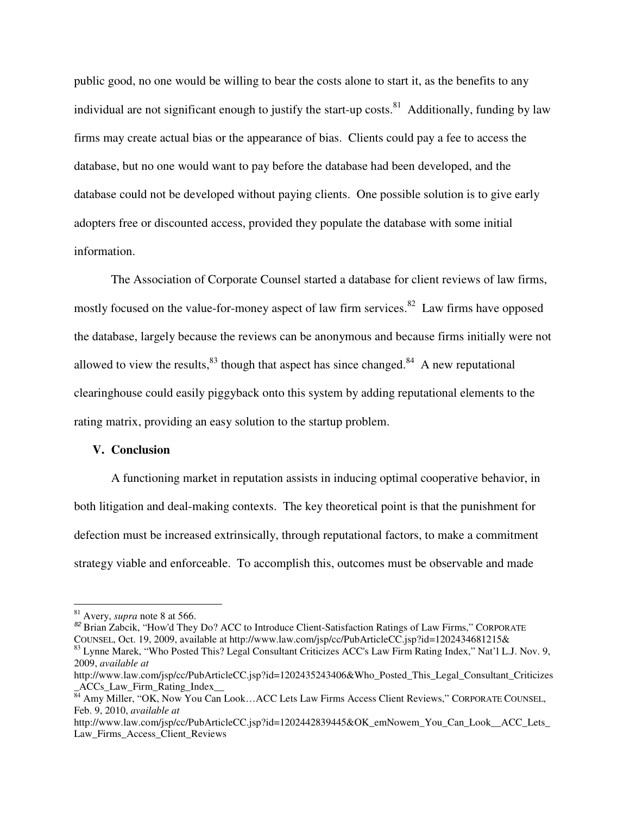public good, no one would be willing to bear the costs alone to start it, as the benefits to any individual are not significant enough to justify the start-up costs.<sup>81</sup> Additionally, funding by law firms may create actual bias or the appearance of bias. Clients could pay a fee to access the database, but no one would want to pay before the database had been developed, and the database could not be developed without paying clients. One possible solution is to give early adopters free or discounted access, provided they populate the database with some initial information.

 The Association of Corporate Counsel started a database for client reviews of law firms, mostly focused on the value-for-money aspect of law firm services.<sup>82</sup> Law firms have opposed the database, largely because the reviews can be anonymous and because firms initially were not allowed to view the results,  $83$  though that aspect has since changed.  $84$  A new reputational clearinghouse could easily piggyback onto this system by adding reputational elements to the rating matrix, providing an easy solution to the startup problem.

# **V. Conclusion**

 A functioning market in reputation assists in inducing optimal cooperative behavior, in both litigation and deal-making contexts. The key theoretical point is that the punishment for defection must be increased extrinsically, through reputational factors, to make a commitment strategy viable and enforceable. To accomplish this, outcomes must be observable and made

<sup>&</sup>lt;sup>81</sup> Avery, *supra* note 8 at 566.<br><sup>82</sup> Brian Zabcik, "How'd They Do? ACC to Introduce Client-Satisfaction Ratings of Law Firms," CORPORATE COUNSEL, Oct. 19, 2009, available at http://www.law.com/jsp/cc/PubArticleCC.jsp?id <sup>83</sup> Lynne Marek, "Who Posted This? Legal Consultant Criticizes ACC's Law Firm Rating Index," Nat'l L.J. Nov. 9, 2009, *available at*

http://www.law.com/jsp/cc/PubArticleCC.jsp?id=1202435243406&Who\_Posted\_This\_Legal\_Consultant\_Criticizes \_ACCs\_Law\_Firm\_Rating\_Index\_\_

<sup>&</sup>lt;sup>84</sup> Amy Miller, "OK, Now You Can Look...ACC Lets Law Firms Access Client Reviews," CORPORATE COUNSEL, Feb. 9, 2010, *available at*

http://www.law.com/jsp/cc/PubArticleCC.jsp?id=1202442839445&OK\_emNowem\_You\_Can\_Look\_\_ACC\_Lets\_ Law\_Firms\_Access\_Client\_Reviews